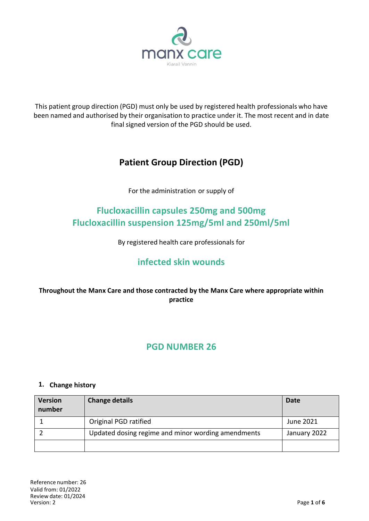

This patient group direction (PGD) must only be used by registered health professionals who have been named and authorised by their organisation to practice under it. The most recent and in date final signed version of the PGD should be used.

# **Patient Group Direction (PGD)**

For the administration or supply of

# **Flucloxacillin capsules 250mg and 500mg Flucloxacillin suspension 125mg/5ml and 250ml/5ml**

By registered health care professionals for

# **infected skin wounds**

## **Throughout the Manx Care and those contracted by the Manx Care where appropriate within practice**

# **PGD NUMBER 26**

#### **1. Change history**

| <b>Version</b><br>number | <b>Change details</b>                              | <b>Date</b>  |
|--------------------------|----------------------------------------------------|--------------|
|                          | Original PGD ratified                              | June 2021    |
|                          | Updated dosing regime and minor wording amendments | January 2022 |
|                          |                                                    |              |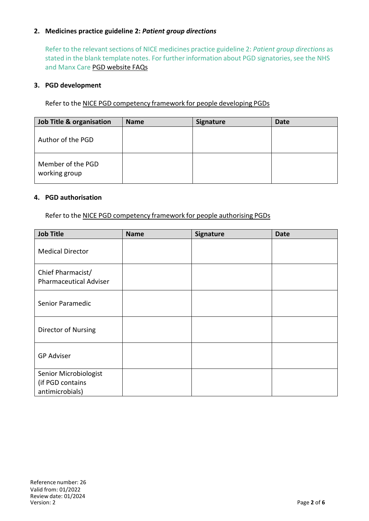### **2. Medicines practice guideline 2:** *Patient group directions*

Refer to the relevant sections of NICE medicines practice guideline 2: *Patient group directions* as stated in the blank template notes. For further information about PGD signatories, see the NHS and Manx Care PGD website FAQs

#### **3. PGD development**

Refer to the NICE PGD competency framework for people developing PGDs

| <b>Job Title &amp; organisation</b> | <b>Name</b> | <b>Signature</b> | Date |
|-------------------------------------|-------------|------------------|------|
| Author of the PGD                   |             |                  |      |
| Member of the PGD<br>working group  |             |                  |      |

#### **4. PGD authorisation**

Refer to the NICE PGD competency framework for people authorising PGDs

| <b>Job Title</b>                                             | <b>Name</b> | Signature | <b>Date</b> |
|--------------------------------------------------------------|-------------|-----------|-------------|
| <b>Medical Director</b>                                      |             |           |             |
| Chief Pharmacist/<br><b>Pharmaceutical Adviser</b>           |             |           |             |
| Senior Paramedic                                             |             |           |             |
| Director of Nursing                                          |             |           |             |
| <b>GP Adviser</b>                                            |             |           |             |
| Senior Microbiologist<br>(if PGD contains<br>antimicrobials) |             |           |             |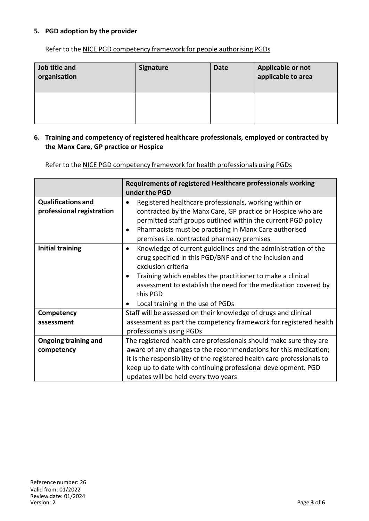### **5. PGD adoption by the provider**

Refer to the NICE PGD competency framework for people authorising PGDs

| Job title and<br>organisation | <b>Signature</b> | <b>Date</b> | Applicable or not<br>applicable to area |
|-------------------------------|------------------|-------------|-----------------------------------------|
|                               |                  |             |                                         |

#### **6. Training and competency of registered healthcare professionals, employed or contracted by the Manx Care, GP practice or Hospice**

Refer to the NICE PGD competency framework for health professionals using PGDs

|                                                        | Requirements of registered Healthcare professionals working<br>under the PGD                                                                                                                                                                                                                                                                 |  |
|--------------------------------------------------------|----------------------------------------------------------------------------------------------------------------------------------------------------------------------------------------------------------------------------------------------------------------------------------------------------------------------------------------------|--|
| <b>Qualifications and</b><br>professional registration | Registered healthcare professionals, working within or<br>contracted by the Manx Care, GP practice or Hospice who are<br>permitted staff groups outlined within the current PGD policy<br>Pharmacists must be practising in Manx Care authorised<br>premises i.e. contracted pharmacy premises                                               |  |
| <b>Initial training</b>                                | Knowledge of current guidelines and the administration of the<br>$\bullet$<br>drug specified in this PGD/BNF and of the inclusion and<br>exclusion criteria<br>Training which enables the practitioner to make a clinical<br>assessment to establish the need for the medication covered by<br>this PGD<br>Local training in the use of PGDs |  |
| Competency                                             | Staff will be assessed on their knowledge of drugs and clinical                                                                                                                                                                                                                                                                              |  |
| assessment                                             | assessment as part the competency framework for registered health<br>professionals using PGDs                                                                                                                                                                                                                                                |  |
| <b>Ongoing training and</b>                            | The registered health care professionals should make sure they are                                                                                                                                                                                                                                                                           |  |
| competency                                             | aware of any changes to the recommendations for this medication;                                                                                                                                                                                                                                                                             |  |
|                                                        | it is the responsibility of the registered health care professionals to                                                                                                                                                                                                                                                                      |  |
|                                                        | keep up to date with continuing professional development. PGD                                                                                                                                                                                                                                                                                |  |
|                                                        | updates will be held every two years                                                                                                                                                                                                                                                                                                         |  |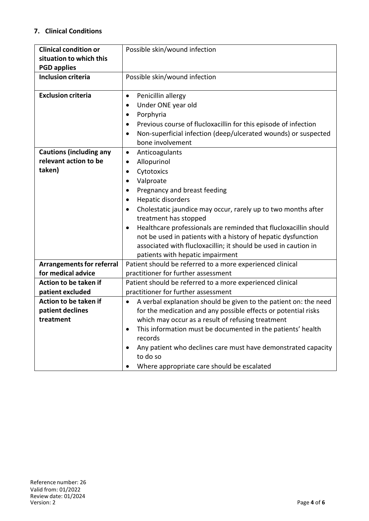## **7. Clinical Conditions**

| <b>Clinical condition or</b>     | Possible skin/wound infection                                                 |
|----------------------------------|-------------------------------------------------------------------------------|
| situation to which this          |                                                                               |
| <b>PGD applies</b>               |                                                                               |
| <b>Inclusion criteria</b>        | Possible skin/wound infection                                                 |
|                                  |                                                                               |
| <b>Exclusion criteria</b>        | Penicillin allergy<br>$\bullet$                                               |
|                                  | Under ONE year old<br>$\bullet$                                               |
|                                  | Porphyria<br>$\bullet$                                                        |
|                                  | Previous course of flucloxacillin for this episode of infection<br>$\bullet$  |
|                                  | Non-superficial infection (deep/ulcerated wounds) or suspected<br>$\bullet$   |
|                                  | bone involvement                                                              |
| <b>Cautions (including any</b>   | Anticoagulants<br>$\bullet$                                                   |
| relevant action to be            | Allopurinol<br>$\bullet$                                                      |
| taken)                           | Cytotoxics<br>$\bullet$                                                       |
|                                  | Valproate                                                                     |
|                                  | Pregnancy and breast feeding<br>$\bullet$                                     |
|                                  | Hepatic disorders<br>$\bullet$                                                |
|                                  | Cholestatic jaundice may occur, rarely up to two months after<br>$\bullet$    |
|                                  | treatment has stopped                                                         |
|                                  | Healthcare professionals are reminded that flucloxacillin should<br>$\bullet$ |
|                                  | not be used in patients with a history of hepatic dysfunction                 |
|                                  | associated with flucloxacillin; it should be used in caution in               |
|                                  | patients with hepatic impairment                                              |
| <b>Arrangements for referral</b> | Patient should be referred to a more experienced clinical                     |
| for medical advice               | practitioner for further assessment                                           |
| Action to be taken if            | Patient should be referred to a more experienced clinical                     |
| patient excluded                 | practitioner for further assessment                                           |
| Action to be taken if            | A verbal explanation should be given to the patient on: the need<br>$\bullet$ |
| patient declines                 | for the medication and any possible effects or potential risks                |
| treatment                        | which may occur as a result of refusing treatment                             |
|                                  | This information must be documented in the patients' health                   |
|                                  | records                                                                       |
|                                  | Any patient who declines care must have demonstrated capacity                 |
|                                  | to do so                                                                      |
|                                  | Where appropriate care should be escalated                                    |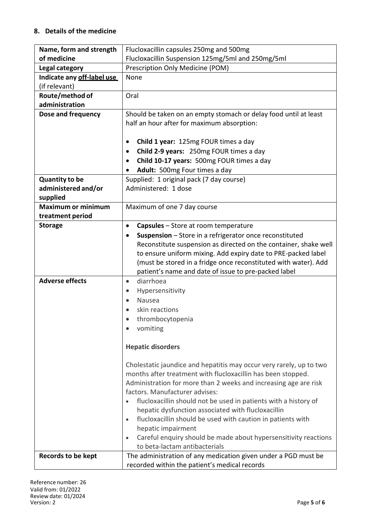### **8. Details of the medicine**

| Name, form and strength    | Flucloxacillin capsules 250mg and 500mg                                                                               |  |  |
|----------------------------|-----------------------------------------------------------------------------------------------------------------------|--|--|
| of medicine                | Flucloxacillin Suspension 125mg/5ml and 250mg/5ml                                                                     |  |  |
| Legal category             | Prescription Only Medicine (POM)                                                                                      |  |  |
| Indicate any off-label use | None                                                                                                                  |  |  |
| (if relevant)              |                                                                                                                       |  |  |
| Route/method of            | Oral                                                                                                                  |  |  |
| administration             |                                                                                                                       |  |  |
| Dose and frequency         | Should be taken on an empty stomach or delay food until at least                                                      |  |  |
|                            | half an hour after for maximum absorption:                                                                            |  |  |
|                            |                                                                                                                       |  |  |
|                            | <b>Child 1 year: 125mg FOUR times a day</b><br>٠                                                                      |  |  |
|                            | Child 2-9 years: 250mg FOUR times a day<br>$\bullet$                                                                  |  |  |
|                            | Child 10-17 years: 500mg FOUR times a day<br>$\bullet$                                                                |  |  |
|                            | Adult: 500mg Four times a day<br>$\bullet$                                                                            |  |  |
| <b>Quantity to be</b>      | Supplied: 1 original pack (7 day course)                                                                              |  |  |
| administered and/or        | Administered: 1 dose                                                                                                  |  |  |
| supplied                   |                                                                                                                       |  |  |
| <b>Maximum or minimum</b>  | Maximum of one 7 day course                                                                                           |  |  |
| treatment period           |                                                                                                                       |  |  |
| <b>Storage</b>             | <b>Capsules</b> – Store at room temperature<br>$\bullet$                                                              |  |  |
|                            | Suspension - Store in a refrigerator once reconstituted                                                               |  |  |
|                            | Reconstitute suspension as directed on the container, shake well                                                      |  |  |
|                            | to ensure uniform mixing. Add expiry date to PRE-packed label                                                         |  |  |
|                            | (must be stored in a fridge once reconstituted with water). Add                                                       |  |  |
|                            | patient's name and date of issue to pre-packed label                                                                  |  |  |
| <b>Adverse effects</b>     | diarrhoea<br>$\bullet$                                                                                                |  |  |
|                            | Hypersensitivity<br>$\bullet$                                                                                         |  |  |
|                            | Nausea                                                                                                                |  |  |
|                            | skin reactions                                                                                                        |  |  |
|                            | thrombocytopenia                                                                                                      |  |  |
|                            | vomiting                                                                                                              |  |  |
|                            |                                                                                                                       |  |  |
|                            | <b>Hepatic disorders</b>                                                                                              |  |  |
|                            |                                                                                                                       |  |  |
|                            | Cholestatic jaundice and hepatitis may occur very rarely, up to two                                                   |  |  |
|                            | months after treatment with flucloxacillin has been stopped.                                                          |  |  |
|                            | Administration for more than 2 weeks and increasing age are risk<br>factors. Manufacturer advises:                    |  |  |
|                            |                                                                                                                       |  |  |
|                            | flucloxacillin should not be used in patients with a history of<br>hepatic dysfunction associated with flucloxacillin |  |  |
|                            | flucloxacillin should be used with caution in patients with<br>$\bullet$                                              |  |  |
|                            | hepatic impairment                                                                                                    |  |  |
|                            | Careful enquiry should be made about hypersensitivity reactions                                                       |  |  |
|                            | to beta-lactam antibacterials                                                                                         |  |  |
| <b>Records to be kept</b>  | The administration of any medication given under a PGD must be                                                        |  |  |
|                            | recorded within the patient's medical records                                                                         |  |  |